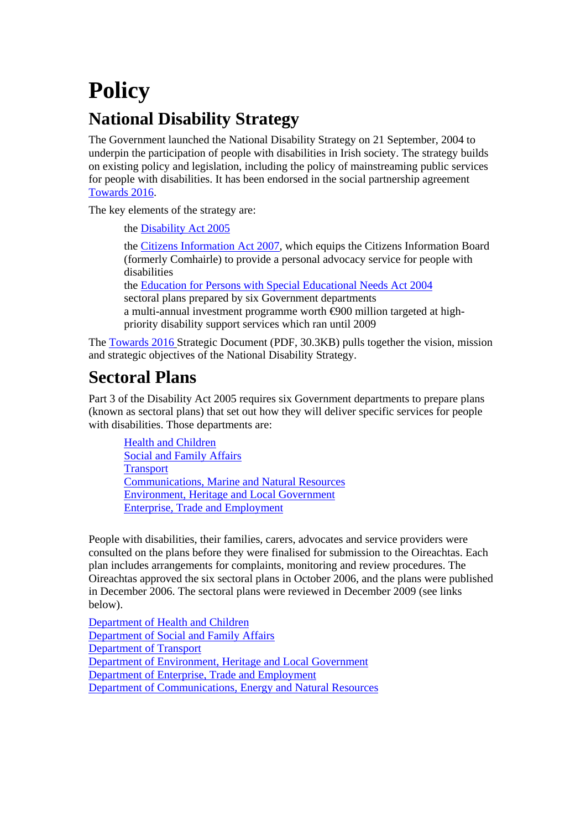# **Policy National Disability Strategy**

The Government launched the National Disability Strategy on 21 September, 2004 to underpin the participation of people with disabilities in Irish society. The strategy builds on existing policy and legislation, including the policy of mainstreaming public services for people with disabilities. It has been endorsed in the social partnership agreement [Towards 2016](http://www.taoiseach.gov.ie/attached_files/Pdf%20files/Towards2016PartnershipAgreement.pdf).

The key elements of the strategy are:

the [Disability Act 2005](http://www.oireachtas.ie/documents/bills28/acts/2005/a1405.pdf) 

the [Citizens Information Act 2007,](http://www.oireachtas.ie/documents/bills28/acts/2007/a207.pdf) which equips the Citizens Information Board (formerly Comhairle) to provide a personal advocacy service for people with disabilities

the [Education for Persons with Special Educational Needs Act 2004](http://www.oireachtas.ie/documents/bills28/acts/2004/A3004.pdf) sectoral plans prepared by six Government departments a multi-annual investment programme worth  $\Theta$ 00 million targeted at highpriority disability support services which ran until 2009

The [Towards 2016](http://www.taoiseach.gov.ie/attached_files/Pdf%20files/Towards2016PartnershipAgreement.pdf) Strategic Document (PDF, 30.3KB) pulls together the vision, mission and strategic objectives of the National Disability Strategy.

### **Sectoral Plans**

Part 3 of the Disability Act 2005 requires six Government departments to prepare plans (known as sectoral plans) that set out how they will deliver specific services for people with disabilities. Those departments are:

[Health and Children](http://www.dohc.ie/publications/sectoral_plan.html) [Social and Family Affairs](http://www.welfare.ie/EN/Policy/CorporatePublications/HowWeWork/Disability%20Sectoral%20Plan/Documents/sectoralplan06.pdf.pdf) **Transport** [Communications, Marine and Natural Resources](http://www.dcenr.gov.ie/NR/rdonlyres/86EAF9C1-6F7C-45ED-9F30-60775F3EF42D/0/justicerevisedpublishableplan.pdf)  [Environment, Heritage and Local Government](http://www.environ.ie/en/LocalGovernment/LocalGovernmentAdministration/SectoralPlan/PublicationsDocuments/FileDownLoad,2011,en.pdf) [Enterprise, Trade and Employment](http://www.djei.ie/labour/strategy/sectoralplan.pdf) 

People with disabilities, their families, carers, advocates and service providers were consulted on the plans before they were finalised for submission to the Oireachtas. Each plan includes arrangements for complaints, monitoring and review procedures. The Oireachtas approved the six sectoral plans in October 2006, and the plans were published in December 2006. The sectoral plans were reviewed in December 2009 (see links below).

[Department of Health and Children](http://www.dohc.ie/publications/sectoral_plan2009.html)  [Department of Social and Family Affairs](http://www.welfare.ie/EN/Policy/CorporatePublications/HowWeWork/Disability%20Sectoral%20Plan/Pages/progreport.aspx)  [Department of Transport](http://www.transport.ie/viewitem.asp?id=12284&lang=ENG&loc=1512) [Department of Environment, Heritage and Local Government](http://www.environ.ie/en/Publications/LocalGovernment/Administration/FileDownLoad,22504,en.pdf) [Department of Enterprise, Trade and Employment](http://www.djei.ie/publications/labour/2010/DETE_Review_of_Sectoral_Plan.pdf) [Department of Communications, Energy and Natural Resources](http://www.justice.ie/en/JELR/dept%20communications%20review%20of%20sectoral%20plan.pdf/Files/dept%20communications%20review%20of%20sectoral%20plan.pdf)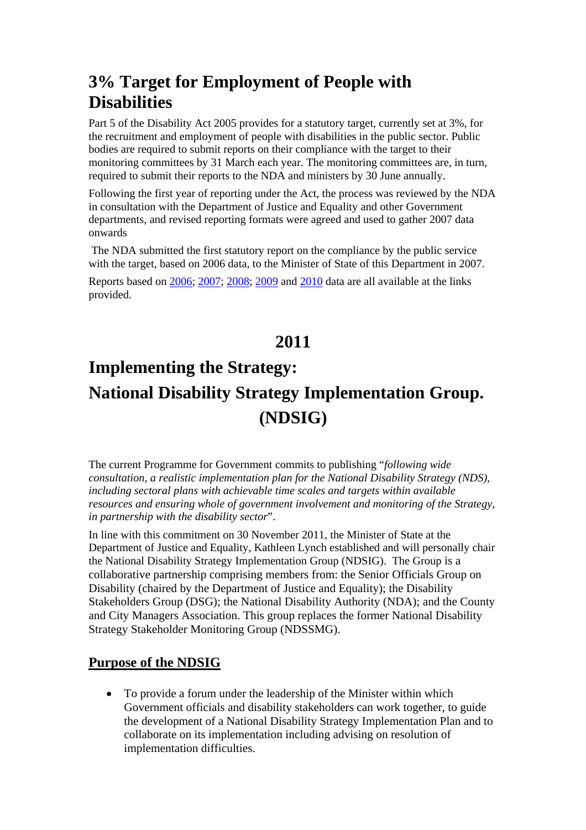### **3% Target for Employment of People with Disabilities**

Part 5 of the Disability Act 2005 provides for a statutory target, currently set at 3%, for the recruitment and employment of people with disabilities in the public sector. Public bodies are required to submit reports on their compliance with the target to their monitoring committees by 31 March each year. The monitoring committees are, in turn, required to submit their reports to the NDA and ministers by 30 June annually.

Following the first year of reporting under the Act, the process was reviewed by the NDA in consultation with the Department of Justice and Equality and other Government departments, and revised reporting formats were agreed and used to gather 2007 data onwards

 The NDA submitted the first statutory report on the compliance by the public service with the target, based on 2006 data, to the Minister of State of this Department in 2007.

Reports based on [2006](http://www.nda.ie/website/nda/cntmgmtnew.nsf/0/60DD74656B72013F802573B5005CD6C7?OpenDocument); [2007](http://www.nda.ie/website/nda/cntmgmtnew.nsf/0/922242B407D6E67D8025752000472790?OpenDocument); [2008](http://www.nda.ie/website/nda/cntmgmtnew.nsf/0/584C604587AEE6BE8025768D00574AFE?OpenDocument); [2009](http://www.nda.ie/Website/NDA/CntMgmtNew.nsf/0/8F8C51C08DD77DE1802578D50059FF75?OpenDocument) and [2010](http://www.nda.ie/Website/NDA/CntMgmtNew.nsf/0/3DEC8437DD0A27B580257961003AE480?OpenDocument) data are all available at the links provided.

### **2011**

## **Implementing the Strategy: National Disability Strategy Implementation Group. (NDSIG)**

The current Programme for Government commits to publishing "*following wide consultation, a realistic implementation plan for the National Disability Strategy (NDS), including sectoral plans with achievable time scales and targets within available resources and ensuring whole of government involvement and monitoring of the Strategy, in partnership with the disability sector*".

In line with this commitment on 30 November 2011, the Minister of State at the Department of Justice and Equality, Kathleen Lynch established and will personally chair the National Disability Strategy Implementation Group (NDSIG). The Group is a collaborative partnership comprising members from: the Senior Officials Group on Disability (chaired by the Department of Justice and Equality); the Disability Stakeholders Group (DSG); the National Disability Authority (NDA); and the County and City Managers Association. This group replaces the former National Disability Strategy Stakeholder Monitoring Group (NDSSMG).

#### **Purpose of the NDSIG**

• To provide a forum under the leadership of the Minister within which Government officials and disability stakeholders can work together, to guide the development of a National Disability Strategy Implementation Plan and to collaborate on its implementation including advising on resolution of implementation difficulties.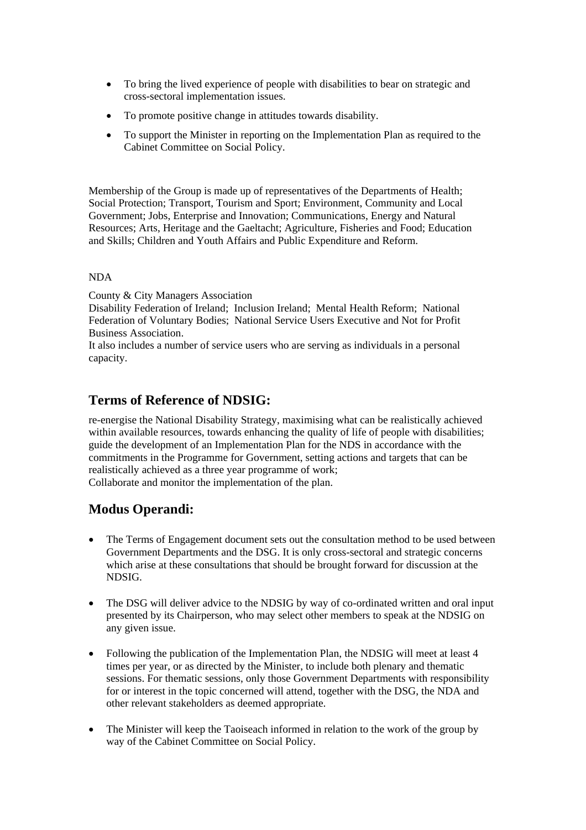- To bring the lived experience of people with disabilities to bear on strategic and cross-sectoral implementation issues.
- To promote positive change in attitudes towards disability.
- To support the Minister in reporting on the Implementation Plan as required to the Cabinet Committee on Social Policy.

Membership of the Group is made up of representatives of the Departments of Health; Social Protection; Transport, Tourism and Sport; Environment, Community and Local Government; Jobs, Enterprise and Innovation; Communications, Energy and Natural Resources; Arts, Heritage and the Gaeltacht; Agriculture, Fisheries and Food; Education and Skills; Children and Youth Affairs and Public Expenditure and Reform.

#### NDA

County & City Managers Association

Disability Federation of Ireland; Inclusion Ireland; Mental Health Reform; National Federation of Voluntary Bodies; National Service Users Executive and Not for Profit Business Association.

It also includes a number of service users who are serving as individuals in a personal capacity.

#### **Terms of Reference of NDSIG:**

re-energise the National Disability Strategy, maximising what can be realistically achieved within available resources, towards enhancing the quality of life of people with disabilities; guide the development of an Implementation Plan for the NDS in accordance with the commitments in the Programme for Government, setting actions and targets that can be realistically achieved as a three year programme of work; Collaborate and monitor the implementation of the plan.

#### **Modus Operandi:**

- The Terms of Engagement document sets out the consultation method to be used between Government Departments and the DSG. It is only cross-sectoral and strategic concerns which arise at these consultations that should be brought forward for discussion at the NDSIG.
- The DSG will deliver advice to the NDSIG by way of co-ordinated written and oral input presented by its Chairperson, who may select other members to speak at the NDSIG on any given issue.
- Following the publication of the Implementation Plan, the NDSIG will meet at least 4 times per year, or as directed by the Minister, to include both plenary and thematic sessions. For thematic sessions, only those Government Departments with responsibility for or interest in the topic concerned will attend, together with the DSG, the NDA and other relevant stakeholders as deemed appropriate.
- The Minister will keep the Taoiseach informed in relation to the work of the group by way of the Cabinet Committee on Social Policy.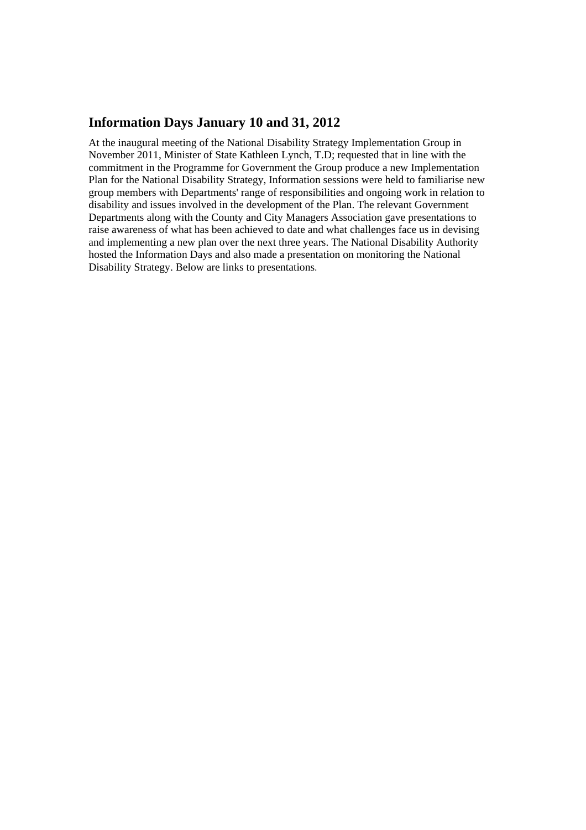#### **Information Days January 10 and 31, 2012**

At the inaugural meeting of the National Disability Strategy Implementation Group in November 2011, Minister of State Kathleen Lynch, T.D; requested that in line with the commitment in the Programme for Government the Group produce a new Implementation Plan for the National Disability Strategy, Information sessions were held to familiarise new group members with Departments' range of responsibilities and ongoing work in relation to disability and issues involved in the development of the Plan. The relevant Government Departments along with the County and City Managers Association gave presentations to raise awareness of what has been achieved to date and what challenges face us in devising and implementing a new plan over the next three years. The National Disability Authority hosted the Information Days and also made a presentation on monitoring the National Disability Strategy. Below are links to presentations.